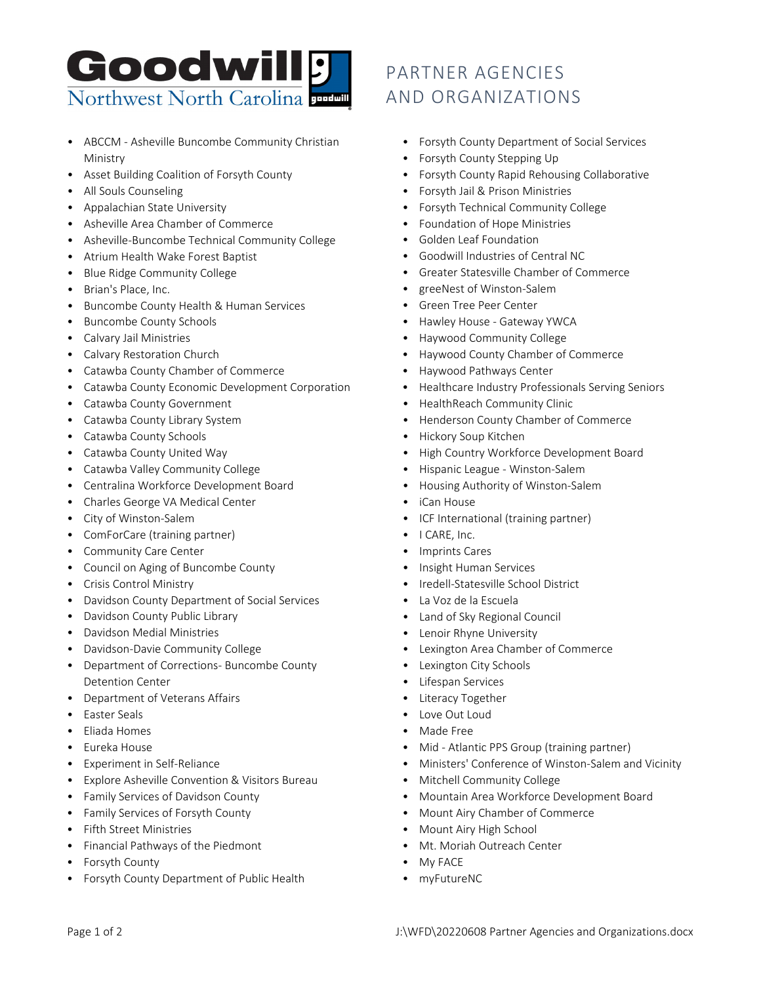

- ABCCM Asheville Buncombe Community Christian Ministry
- Asset Building Coalition of Forsyth County
- All Souls Counseling
- Appalachian State University
- Asheville Area Chamber of Commerce
- Asheville-Buncombe Technical Community College
- Atrium Health Wake Forest Baptist
- Blue Ridge Community College
- Brian's Place, Inc.
- Buncombe County Health & Human Services
- Buncombe County Schools
- Calvary Jail Ministries
- Calvary Restoration Church
- Catawba County Chamber of Commerce
- Catawba County Economic Development Corporation
- Catawba County Government
- Catawba County Library System
- Catawba County Schools
- Catawba County United Way
- Catawba Valley Community College
- Centralina Workforce Development Board
- Charles George VA Medical Center
- City of Winston-Salem
- ComForCare (training partner)
- Community Care Center
- Council on Aging of Buncombe County
- Crisis Control Ministry
- Davidson County Department of Social Services
- Davidson County Public Library
- Davidson Medial Ministries
- Davidson-Davie Community College
- Department of Corrections- Buncombe County Detention Center
- Department of Veterans Affairs
- Easter Seals
- Eliada Homes
- Eureka House
- Experiment in Self-Reliance
- Explore Asheville Convention & Visitors Bureau
- Family Services of Davidson County
- Family Services of Forsyth County
- Fifth Street Ministries
- Financial Pathways of the Piedmont
- Forsyth County
- Forsyth County Department of Public Health

## PARTNER AGENCIES AND ORGANIZATIONS

- Forsyth County Department of Social Services
- Forsyth County Stepping Up
- Forsyth County Rapid Rehousing Collaborative
- Forsyth Jail & Prison Ministries
- Forsyth Technical Community College
- Foundation of Hope Ministries
- Golden Leaf Foundation
- Goodwill Industries of Central NC
- Greater Statesville Chamber of Commerce
- greeNest of Winston-Salem
- Green Tree Peer Center
- Hawley House Gateway YWCA
- Haywood Community College
- Haywood County Chamber of Commerce
- Haywood Pathways Center
- Healthcare Industry Professionals Serving Seniors
- HealthReach Community Clinic
- Henderson County Chamber of Commerce
- Hickory Soup Kitchen
- High Country Workforce Development Board
- Hispanic League Winston-Salem
- Housing Authority of Winston-Salem
- iCan House
- ICF International (training partner)
- I CARE, Inc.
- **Imprints Cares**
- Insight Human Services
- Iredell-Statesville School District
- La Voz de la Escuela
- Land of Sky Regional Council
- Lenoir Rhyne University
- Lexington Area Chamber of Commerce
- Lexington City Schools
- Lifespan Services
- Literacy Together
- Love Out Loud
- Made Free
- Mid Atlantic PPS Group (training partner)
- Ministers' Conference of Winston-Salem and Vicinity
- Mitchell Community College
- Mountain Area Workforce Development Board
- Mount Airy Chamber of Commerce
- Mount Airy High School
- Mt. Moriah Outreach Center
- My FACE
- myFutureNC